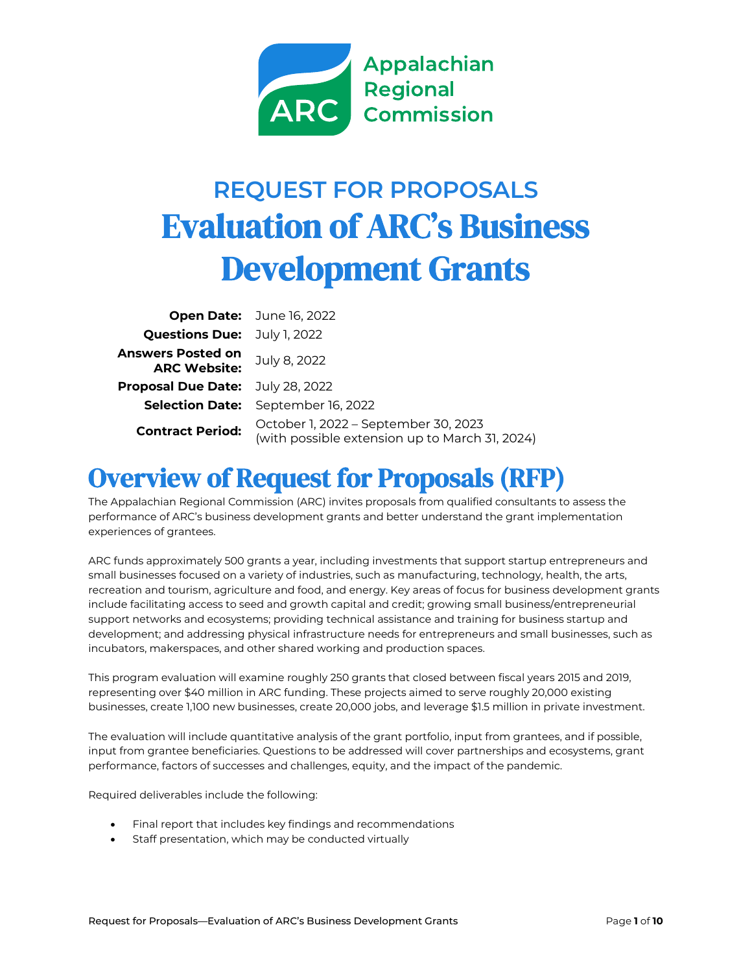

# **REQUEST FOR PROPOSALS** Evaluation of ARC's Business Development Grants

|                                                 | Open Date: June 16, 2022                                                               |
|-------------------------------------------------|----------------------------------------------------------------------------------------|
| <b>Questions Due:</b> July 1, 2022              |                                                                                        |
| <b>Answers Posted on</b><br><b>ARC Website:</b> | July 8, 2022                                                                           |
| <b>Proposal Due Date:</b> July 28, 2022         |                                                                                        |
|                                                 | <b>Selection Date:</b> September 16, 2022                                              |
| <b>Contract Period:</b>                         | October 1, 2022 - September 30, 2023<br>(with possible extension up to March 31, 2024) |

## Overview of Request for Proposals (RFP)

The Appalachian Regional Commission (ARC) invites proposals from qualified consultants to assess the performance of ARC's business development grants and better understand the grant implementation experiences of grantees.

ARC funds approximately 500 grants a year, including investments that support startup entrepreneurs and small businesses focused on a variety of industries, such as manufacturing, technology, health, the arts, recreation and tourism, agriculture and food, and energy. Key areas of focus for business development grants include facilitating access to seed and growth capital and credit; growing small business/entrepreneurial support networks and ecosystems; providing technical assistance and training for business startup and development; and addressing physical infrastructure needs for entrepreneurs and small businesses, such as incubators, makerspaces, and other shared working and production spaces.

This program evaluation will examine roughly 250 grants that closed between fiscal years 2015 and 2019, representing over \$40 million in ARC funding. These projects aimed to serve roughly 20,000 existing businesses, create 1,100 new businesses, create 20,000 jobs, and leverage \$1.5 million in private investment.

The evaluation will include quantitative analysis of the grant portfolio, input from grantees, and if possible, input from grantee beneficiaries. Questions to be addressed will cover partnerships and ecosystems, grant performance, factors of successes and challenges, equity, and the impact of the pandemic.

Required deliverables include the following:

- Final report that includes key findings and recommendations
- Staff presentation, which may be conducted virtually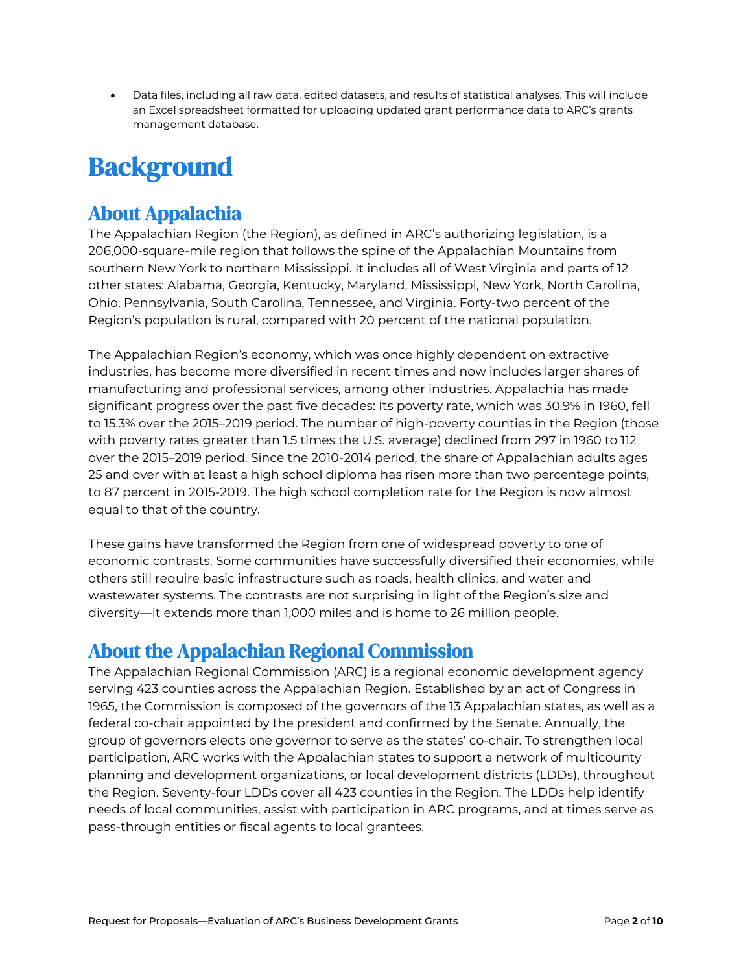• Data files, including all raw data, edited datasets, and results of statistical analyses. This will include an Excel spreadsheet formatted for uploading updated grant performance data to ARC's grants management database.

# **Background**

## About Appalachia

The Appalachian Region (the Region), as defined in ARC's authorizing legislation, is a 206,000-square-mile region that follows the spine of the Appalachian Mountains from southern New York to northern Mississippi. It includes all of West Virginia and parts of 12 other states: Alabama, Georgia, Kentucky, Maryland, Mississippi, New York, North Carolina, Ohio, Pennsylvania, South Carolina, Tennessee, and Virginia. Forty-two percent of the Region's population is rural, compared with 20 percent of the national population.

The Appalachian Region's economy, which was once highly dependent on extractive industries, has become more diversified in recent times and now includes larger shares of manufacturing and professional services, among other industries. Appalachia has made significant progress over the past five decades: Its poverty rate, which was 30.9% in 1960, fell to 15.3% over the 2015–2019 period. The number of high-poverty counties in the Region (those with poverty rates greater than 1.5 times the U.S. average) declined from 297 in 1960 to 112 over the 2015–2019 period. Since the 2010-2014 period, the share of Appalachian adults ages 25 and over with at least a high school diploma has risen more than two percentage points, to 87 percent in 2015-2019. The high school completion rate for the Region is now almost equal to that of the country.

These gains have transformed the Region from one of widespread poverty to one of economic contrasts. Some communities have successfully diversified their economies, while others still require basic infrastructure such as roads, health clinics, and water and wastewater systems. The contrasts are not surprising in light of the Region's size and diversity—it extends more than 1,000 miles and is home to 26 million people.

## About the Appalachian Regional Commission

The Appalachian Regional Commission (ARC) is a regional economic development agency serving 423 counties across the Appalachian Region. Established by an act of Congress in 1965, the Commission is composed of the governors of the 13 Appalachian states, as well as a federal co-chair appointed by the president and confirmed by the Senate. Annually, the group of governors elects one governor to serve as the states' co-chair. To strengthen local participation, ARC works with the Appalachian states to support a network of multicounty planning and development organizations, or local development districts (LDDs), throughout the Region. Seventy-four LDDs cover all 423 counties in the Region. The LDDs help identify needs of local communities, assist with participation in ARC programs, and at times serve as pass-through entities or fiscal agents to local grantees.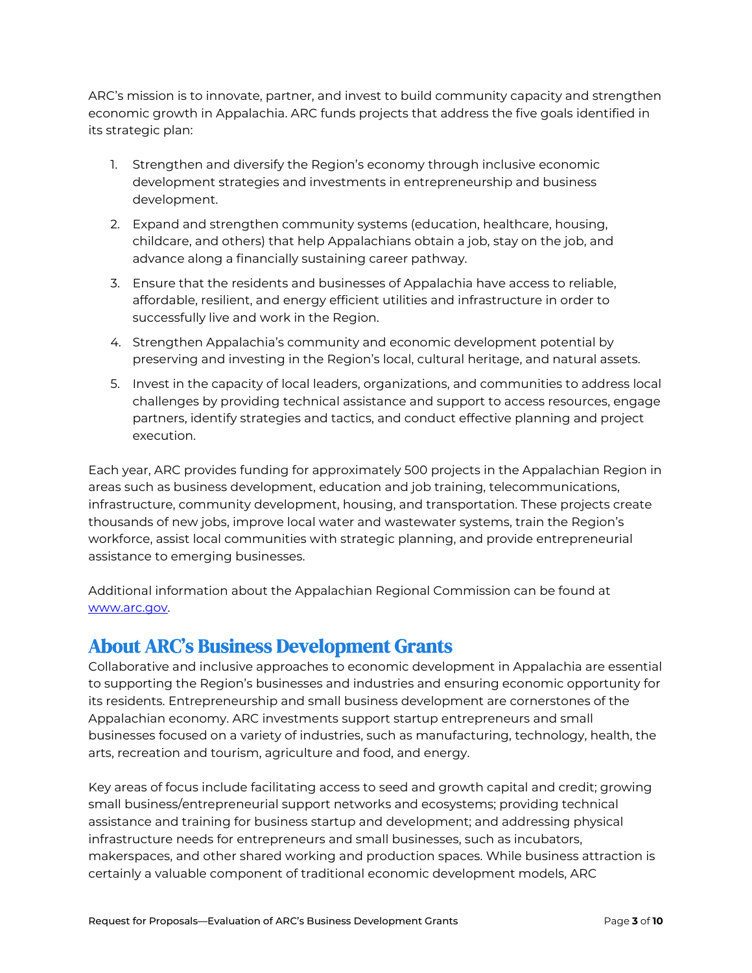ARC's mission is to innovate, partner, and invest to build community capacity and strengthen economic growth in Appalachia. ARC funds projects that address the five goals identified in its strategic plan:

- 1. Strengthen and diversify the Region's economy through inclusive economic development strategies and investments in entrepreneurship and business development.
- 2. Expand and strengthen community systems (education, healthcare, housing, childcare, and others) that help Appalachians obtain a job, stay on the job, and advance along a financially sustaining career pathway.
- 3. Ensure that the residents and businesses of Appalachia have access to reliable, affordable, resilient, and energy efficient utilities and infrastructure in order to successfully live and work in the Region.
- 4. Strengthen Appalachia's community and economic development potential by preserving and investing in the Region's local, cultural heritage, and natural assets.
- 5. Invest in the capacity of local leaders, organizations, and communities to address local challenges by providing technical assistance and support to access resources, engage partners, identify strategies and tactics, and conduct effective planning and project execution.

Each year, ARC provides funding for approximately 500 projects in the Appalachian Region in areas such as business development, education and job training, telecommunications, infrastructure, community development, housing, and transportation. These projects create thousands of new jobs, improve local water and wastewater systems, train the Region's workforce, assist local communities with strategic planning, and provide entrepreneurial assistance to emerging businesses.

Additional information about the Appalachian Regional Commission can be found at [www.arc.gov.](http://www.arc.gov/)

### About ARC's Business Development Grants

Collaborative and inclusive approaches to economic development in Appalachia are essential to supporting the Region's businesses and industries and ensuring economic opportunity for its residents. Entrepreneurship and small business development are cornerstones of the Appalachian economy. ARC investments support startup entrepreneurs and small businesses focused on a variety of industries, such as manufacturing, technology, health, the arts, recreation and tourism, agriculture and food, and energy.

Key areas of focus include facilitating access to seed and growth capital and credit; growing small business/entrepreneurial support networks and ecosystems; providing technical assistance and training for business startup and development; and addressing physical infrastructure needs for entrepreneurs and small businesses, such as incubators, makerspaces, and other shared working and production spaces. While business attraction is certainly a valuable component of traditional economic development models, ARC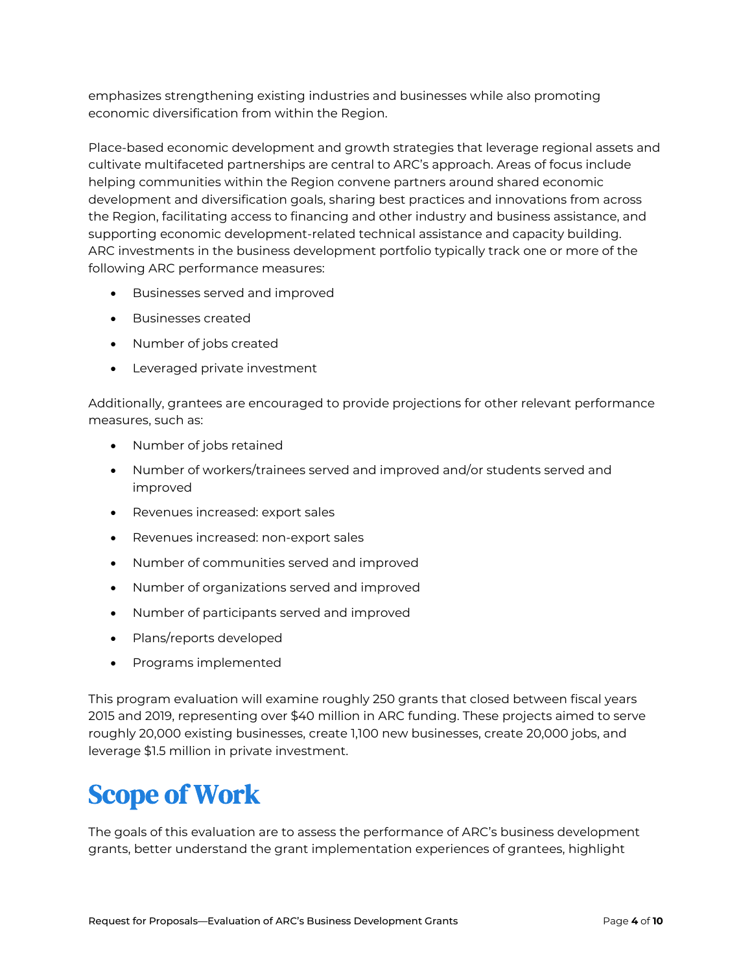emphasizes strengthening existing industries and businesses while also promoting economic diversification from within the Region.

Place-based economic development and growth strategies that leverage regional assets and cultivate multifaceted partnerships are central to ARC's approach. Areas of focus include helping communities within the Region convene partners around shared economic development and diversification goals, sharing best practices and innovations from across the Region, facilitating access to financing and other industry and business assistance, and supporting economic development-related technical assistance and capacity building. ARC investments in the business development portfolio typically track one or more of the following ARC performance measures:

- Businesses served and improved
- Businesses created
- Number of jobs created
- Leveraged private investment

Additionally, grantees are encouraged to provide projections for other relevant performance measures, such as:

- Number of jobs retained
- Number of workers/trainees served and improved and/or students served and improved
- Revenues increased: export sales
- Revenues increased: non-export sales
- Number of communities served and improved
- Number of organizations served and improved
- Number of participants served and improved
- Plans/reports developed
- Programs implemented

This program evaluation will examine roughly 250 grants that closed between fiscal years 2015 and 2019, representing over \$40 million in ARC funding. These projects aimed to serve roughly 20,000 existing businesses, create 1,100 new businesses, create 20,000 jobs, and leverage \$1.5 million in private investment.

# Scope of Work

The goals of this evaluation are to assess the performance of ARC's business development grants, better understand the grant implementation experiences of grantees, highlight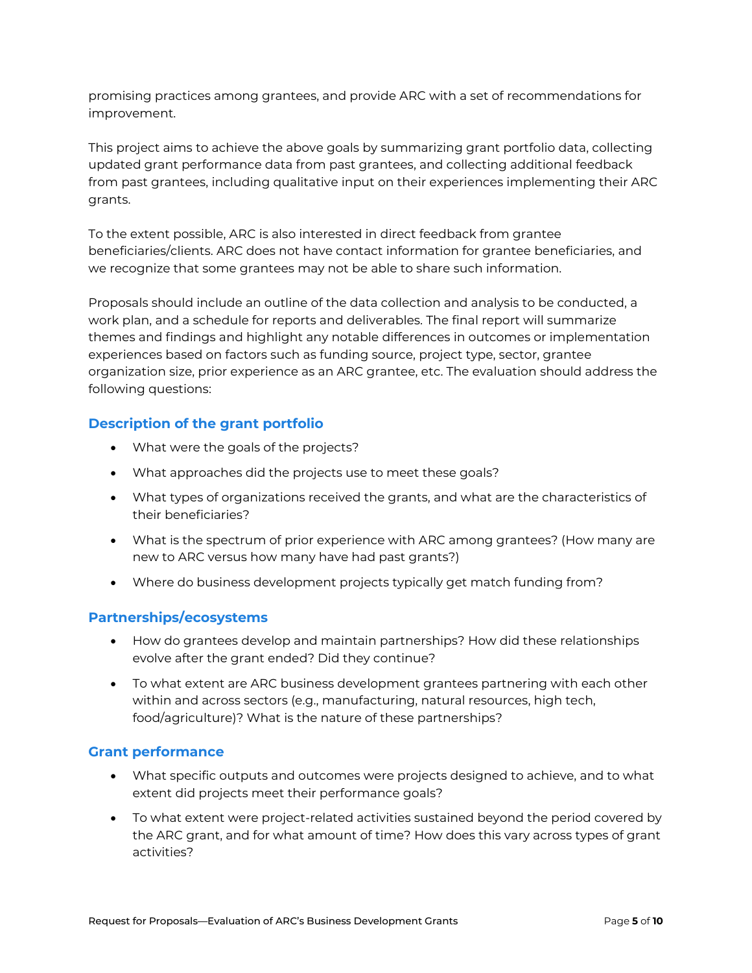promising practices among grantees, and provide ARC with a set of recommendations for improvement.

This project aims to achieve the above goals by summarizing grant portfolio data, collecting updated grant performance data from past grantees, and collecting additional feedback from past grantees, including qualitative input on their experiences implementing their ARC grants.

To the extent possible, ARC is also interested in direct feedback from grantee beneficiaries/clients. ARC does not have contact information for grantee beneficiaries, and we recognize that some grantees may not be able to share such information.

Proposals should include an outline of the data collection and analysis to be conducted, a work plan, and a schedule for reports and deliverables. The final report will summarize themes and findings and highlight any notable differences in outcomes or implementation experiences based on factors such as funding source, project type, sector, grantee organization size, prior experience as an ARC grantee, etc. The evaluation should address the following questions:

### **Description of the grant portfolio**

- What were the goals of the projects?
- What approaches did the projects use to meet these goals?
- What types of organizations received the grants, and what are the characteristics of their beneficiaries?
- What is the spectrum of prior experience with ARC among grantees? (How many are new to ARC versus how many have had past grants?)
- Where do business development projects typically get match funding from?

### **Partnerships/ecosystems**

- How do grantees develop and maintain partnerships? How did these relationships evolve after the grant ended? Did they continue?
- To what extent are ARC business development grantees partnering with each other within and across sectors (e.g., manufacturing, natural resources, high tech, food/agriculture)? What is the nature of these partnerships?

### **Grant performance**

- What specific outputs and outcomes were projects designed to achieve, and to what extent did projects meet their performance goals?
- To what extent were project-related activities sustained beyond the period covered by the ARC grant, and for what amount of time? How does this vary across types of grant activities?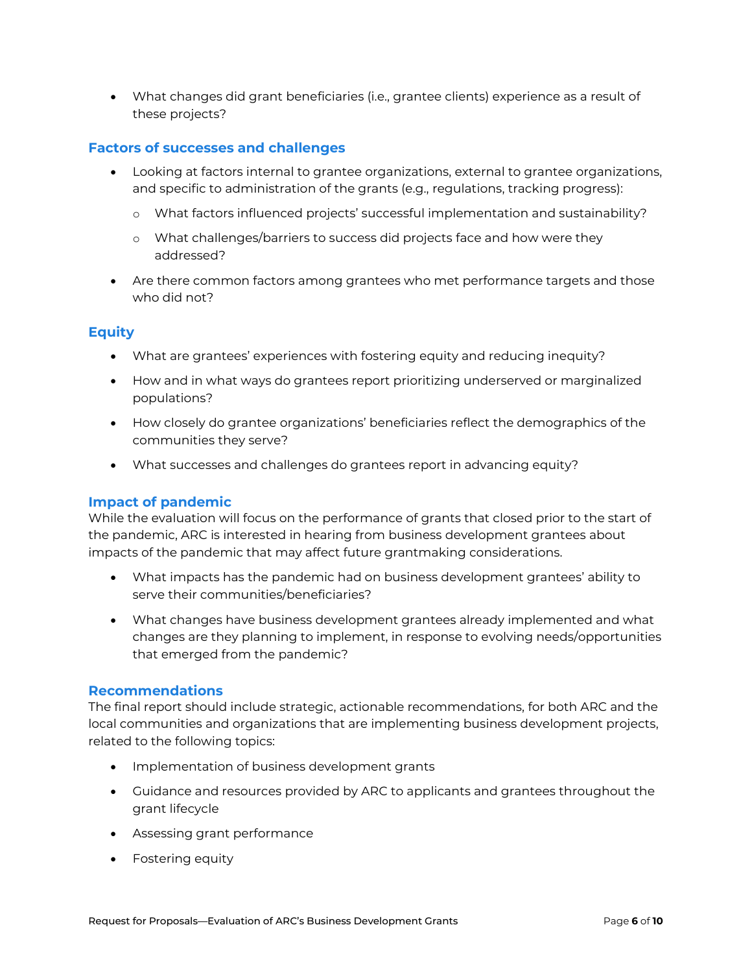• What changes did grant beneficiaries (i.e., grantee clients) experience as a result of these projects?

#### **Factors of successes and challenges**

- Looking at factors internal to grantee organizations, external to grantee organizations, and specific to administration of the grants (e.g., regulations, tracking progress):
	- o What factors influenced projects' successful implementation and sustainability?
	- o What challenges/barriers to success did projects face and how were they addressed?
- Are there common factors among grantees who met performance targets and those who did not?

### **Equity**

- What are grantees' experiences with fostering equity and reducing inequity?
- How and in what ways do grantees report prioritizing underserved or marginalized populations?
- How closely do grantee organizations' beneficiaries reflect the demographics of the communities they serve?
- What successes and challenges do grantees report in advancing equity?

### **Impact of pandemic**

While the evaluation will focus on the performance of grants that closed prior to the start of the pandemic, ARC is interested in hearing from business development grantees about impacts of the pandemic that may affect future grantmaking considerations.

- What impacts has the pandemic had on business development grantees' ability to serve their communities/beneficiaries?
- What changes have business development grantees already implemented and what changes are they planning to implement, in response to evolving needs/opportunities that emerged from the pandemic?

#### **Recommendations**

The final report should include strategic, actionable recommendations, for both ARC and the local communities and organizations that are implementing business development projects, related to the following topics:

- Implementation of business development grants
- Guidance and resources provided by ARC to applicants and grantees throughout the grant lifecycle
- Assessing grant performance
- Fostering equity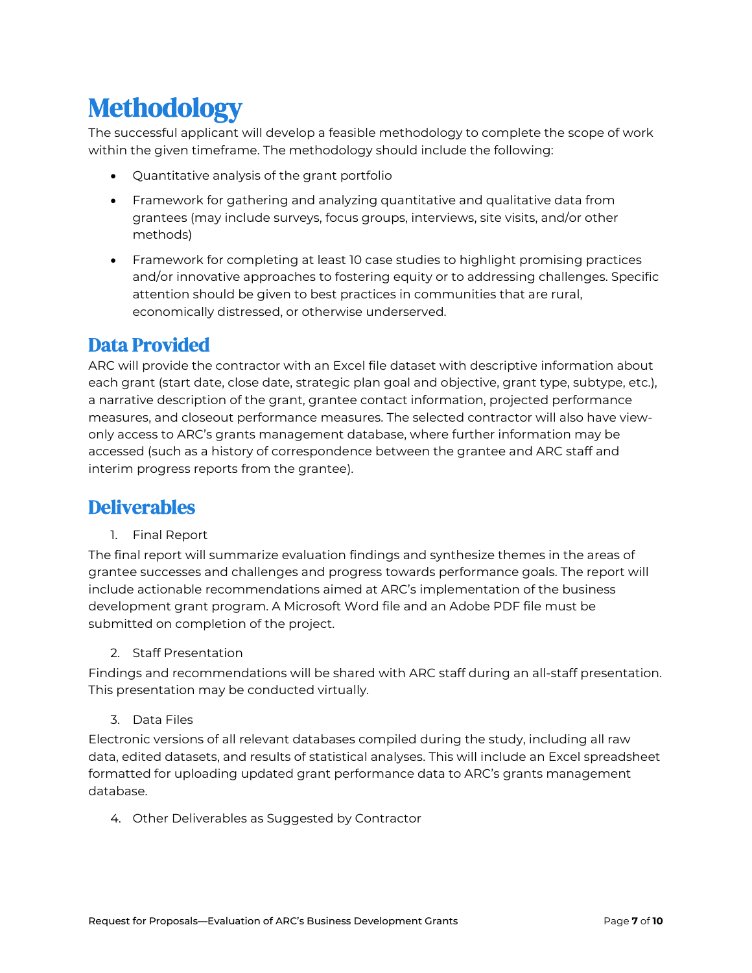# **Methodology**

The successful applicant will develop a feasible methodology to complete the scope of work within the given timeframe. The methodology should include the following:

- Quantitative analysis of the grant portfolio
- Framework for gathering and analyzing quantitative and qualitative data from grantees (may include surveys, focus groups, interviews, site visits, and/or other methods)
- Framework for completing at least 10 case studies to highlight promising practices and/or innovative approaches to fostering equity or to addressing challenges. Specific attention should be given to best practices in communities that are rural, economically distressed, or otherwise underserved.

## Data Provided

ARC will provide the contractor with an Excel file dataset with descriptive information about each grant (start date, close date, strategic plan goal and objective, grant type, subtype, etc.), a narrative description of the grant, grantee contact information, projected performance measures, and closeout performance measures. The selected contractor will also have viewonly access to ARC's grants management database, where further information may be accessed (such as a history of correspondence between the grantee and ARC staff and interim progress reports from the grantee).

## **Deliverables**

1. Final Report

The final report will summarize evaluation findings and synthesize themes in the areas of grantee successes and challenges and progress towards performance goals. The report will include actionable recommendations aimed at ARC's implementation of the business development grant program. A Microsoft Word file and an Adobe PDF file must be submitted on completion of the project.

2. Staff Presentation

Findings and recommendations will be shared with ARC staff during an all-staff presentation. This presentation may be conducted virtually.

3. Data Files

Electronic versions of all relevant databases compiled during the study, including all raw data, edited datasets, and results of statistical analyses. This will include an Excel spreadsheet formatted for uploading updated grant performance data to ARC's grants management database.

4. Other Deliverables as Suggested by Contractor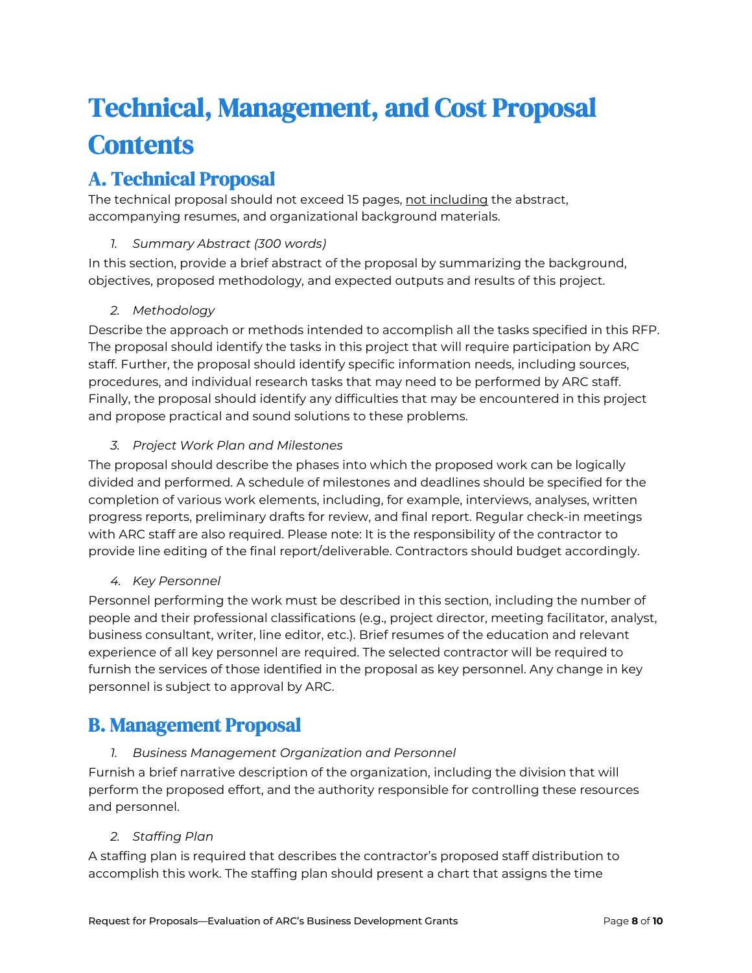# Technical, Management, and Cost Proposal **Contents**

## A. Technical Proposal

The technical proposal should not exceed 15 pages, not including the abstract, accompanying resumes, and organizational background materials.

### *1. Summary Abstract (300 words)*

In this section, provide a brief abstract of the proposal by summarizing the background, objectives, proposed methodology, and expected outputs and results of this project.

### *2. Methodology*

Describe the approach or methods intended to accomplish all the tasks specified in this RFP. The proposal should identify the tasks in this project that will require participation by ARC staff. Further, the proposal should identify specific information needs, including sources, procedures, and individual research tasks that may need to be performed by ARC staff. Finally, the proposal should identify any difficulties that may be encountered in this project and propose practical and sound solutions to these problems.

### *3. Project Work Plan and Milestones*

The proposal should describe the phases into which the proposed work can be logically divided and performed. A schedule of milestones and deadlines should be specified for the completion of various work elements, including, for example, interviews, analyses, written progress reports, preliminary drafts for review, and final report. Regular check-in meetings with ARC staff are also required. Please note: It is the responsibility of the contractor to provide line editing of the final report/deliverable. Contractors should budget accordingly.

### *4. Key Personnel*

Personnel performing the work must be described in this section, including the number of people and their professional classifications (e.g., project director, meeting facilitator, analyst, business consultant, writer, line editor, etc.). Brief resumes of the education and relevant experience of all key personnel are required. The selected contractor will be required to furnish the services of those identified in the proposal as key personnel. Any change in key personnel is subject to approval by ARC.

## B. Management Proposal

### *1. Business Management Organization and Personnel*

Furnish a brief narrative description of the organization, including the division that will perform the proposed effort, and the authority responsible for controlling these resources and personnel.

### *2. Staffing Plan*

A staffing plan is required that describes the contractor's proposed staff distribution to accomplish this work. The staffing plan should present a chart that assigns the time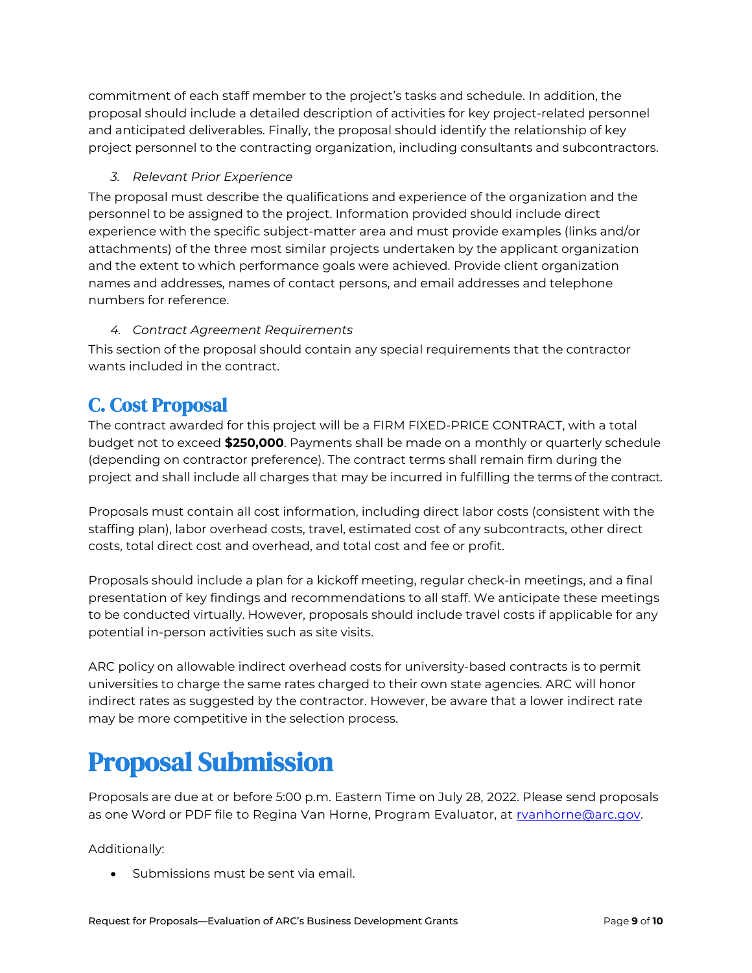commitment of each staff member to the project's tasks and schedule. In addition, the proposal should include a detailed description of activities for key project-related personnel and anticipated deliverables. Finally, the proposal should identify the relationship of key project personnel to the contracting organization, including consultants and subcontractors.

### *3. Relevant Prior Experience*

The proposal must describe the qualifications and experience of the organization and the personnel to be assigned to the project. Information provided should include direct experience with the specific subject-matter area and must provide examples (links and/or attachments) of the three most similar projects undertaken by the applicant organization and the extent to which performance goals were achieved. Provide client organization names and addresses, names of contact persons, and email addresses and telephone numbers for reference.

### *4. Contract Agreement Requirements*

This section of the proposal should contain any special requirements that the contractor wants included in the contract.

## C. Cost Proposal

The contract awarded for this project will be a FIRM FIXED-PRICE CONTRACT, with a total budget not to exceed **\$250,000**. Payments shall be made on a monthly or quarterly schedule (depending on contractor preference). The contract terms shall remain firm during the project and shall include all charges that may be incurred in fulfilling the terms of the contract.

Proposals must contain all cost information, including direct labor costs (consistent with the staffing plan), labor overhead costs, travel, estimated cost of any subcontracts, other direct costs, total direct cost and overhead, and total cost and fee or profit.

Proposals should include a plan for a kickoff meeting, regular check-in meetings, and a final presentation of key findings and recommendations to all staff. We anticipate these meetings to be conducted virtually. However, proposals should include travel costs if applicable for any potential in-person activities such as site visits.

ARC policy on allowable indirect overhead costs for university-based contracts is to permit universities to charge the same rates charged to their own state agencies. ARC will honor indirect rates as suggested by the contractor. However, be aware that a lower indirect rate may be more competitive in the selection process.

# Proposal Submission

Proposals are due at or before 5:00 p.m. Eastern Time on July 28, 2022. Please send proposals as one Word or PDF file to Regina Van Horne, Program Evaluator, at [rvanhorne@arc.gov.](mailto:rvanhorne@arc.gov)

Additionally:

• Submissions must be sent via email.